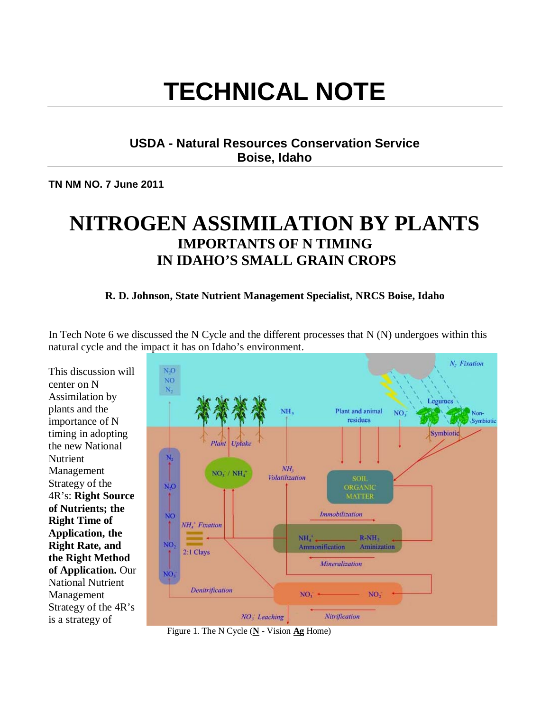# **TECHNICAL NOTE**

# **USDA - Natural Resources Conservation Service Boise, Idaho**

**TN NM NO. 7 June 2011** 

# **NITROGEN ASSIMILATION BY PLANTS IMPORTANTS OF N TIMING IN IDAHO'S SMALL GRAIN CROPS**

#### **R. D. Johnson, State Nutrient Management Specialist, NRCS Boise, Idaho**

In Tech Note 6 we discussed the N Cycle and the different processes that  $N(N)$  undergoes within this natural cycle and the impact it has on Idaho's environment.

This discussion will center on N Assimilation by plants and the importance of N timing in adopting the new National Nutrient Management Strategy of the 4R's: **Right Source of Nutrients; the Right Time of Application, the Right Rate, and the Right Method of Application.** Our National Nutrient Management Strategy of the 4R's is a strategy of



Figure 1. The N Cycle (**N** - Vision **Ag** Home)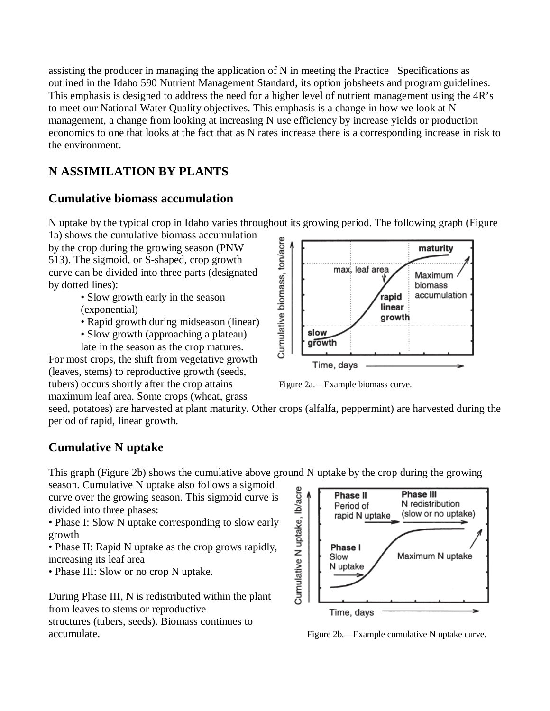assisting the producer in managing the application of N in meeting the Practice Specifications as outlined in the Idaho 590 Nutrient Management Standard, its option jobsheets and program guidelines. This emphasis is designed to address the need for a higher level of nutrient management using the 4R's to meet our National Water Quality objectives. This emphasis is a change in how we look at N management, a change from looking at increasing N use efficiency by increase yields or production economics to one that looks at the fact that as N rates increase there is a corresponding increase in risk to the environment.

# **N ASSIMILATION BY PLANTS**

# **Cumulative biomass accumulation**

N uptake by the typical crop in Idaho varies throughout its growing period. The following graph (Figure

1a) shows the cumulative biomass accumulation by the crop during the growing season (PNW 513). The sigmoid, or S-shaped, crop growth curve can be divided into three parts (designated by dotted lines):

- Slow growth early in the season (exponential)
- Rapid growth during midseason (linear)
- Slow growth (approaching a plateau) late in the season as the crop matures.

For most crops, the shift from vegetative growth (leaves, stems) to reproductive growth (seeds, tubers) occurs shortly after the crop attains Figure 2a.—Example biomass curve. maximum leaf area. Some crops (wheat, grass



seed, potatoes) are harvested at plant maturity. Other crops (alfalfa, peppermint) are harvested during the period of rapid, linear growth.

# **Cumulative N uptake**

This graph (Figure 2b) shows the cumulative above ground N uptake by the crop during the growing

season. Cumulative N uptake also follows a sigmoid curve over the growing season. This sigmoid curve is divided into three phases:

• Phase I: Slow N uptake corresponding to slow early growth

• Phase II: Rapid N uptake as the crop grows rapidly, increasing its leaf area

• Phase III: Slow or no crop N uptake.

During Phase III, N is redistributed within the plant from leaves to stems or reproductive

structures (tubers, seeds). Biomass continues to accumulate. Figure 2b.—Example cumulative N uptake curve.

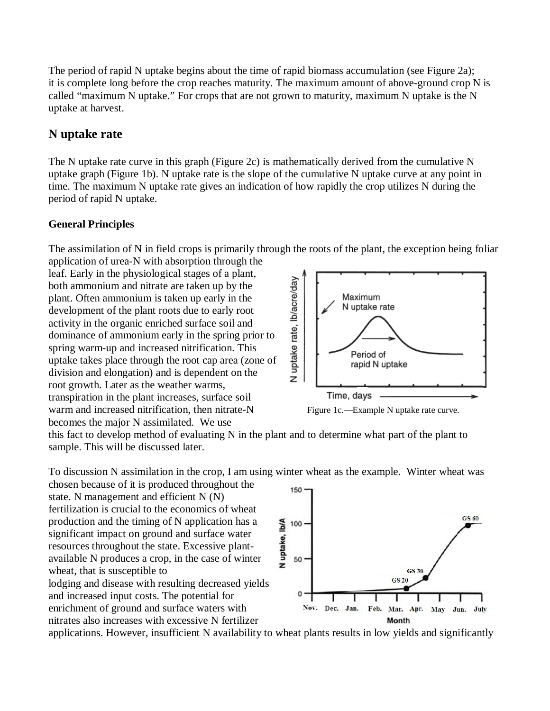The period of rapid N uptake begins about the time of rapid biomass accumulation (see Figure 2a); it is complete long before the crop reaches maturity. The maximum amount of above-ground crop N is called "maximum N uptake." For crops that are not grown to maturity, maximum N uptake is the N uptake at harvest.

#### **N uptake rate**

The N uptake rate curve in this graph (Figure 2c) is mathematically derived from the cumulative N uptake graph (Figure 1b). N uptake rate is the slope of the cumulative N uptake curve at any point in time. The maximum N uptake rate gives an indication of how rapidly the crop utilizes N during the period of rapid N uptake.

#### **General Principles**

The assimilation of N in field crops is primarily through the roots of the plant, the exception being foliar application of urea-N with absorption through the

leaf. Early in the physiological stages of a plant, both ammonium and nitrate are taken up by the plant. Often ammonium is taken up early in the development of the plant roots due to early root activity in the organic enriched surface soil and dominance of ammonium early in the spring prior to spring warm-up and increased nitrification. This uptake takes place through the root cap area (zone of division and elongation) and is dependent on the root growth. Later as the weather warms, transpiration in the plant increases, surface soil warm and increased nitrification, then nitrate-N Figure 1c.—Example N uptake rate curve. becomes the major N assimilated. We use



this fact to develop method of evaluating N in the plant and to determine what part of the plant to sample. This will be discussed later.

To discussion N assimilation in the crop, I am using winter wheat as the example. Winter wheat was

chosen because of it is produced throughout the state. N management and efficient N (N) fertilization is crucial to the economics of wheat production and the timing of N application has a significant impact on ground and surface water resources throughout the state. Excessive plantavailable N produces a crop, in the case of winter wheat, that is susceptible to lodging and disease with resulting decreased yields and increased input costs. The potential for enrichment of ground and surface waters with nitrates also increases with excessive N fertilizer



applications. However, insufficient N availability to wheat plants results in low yields and significantly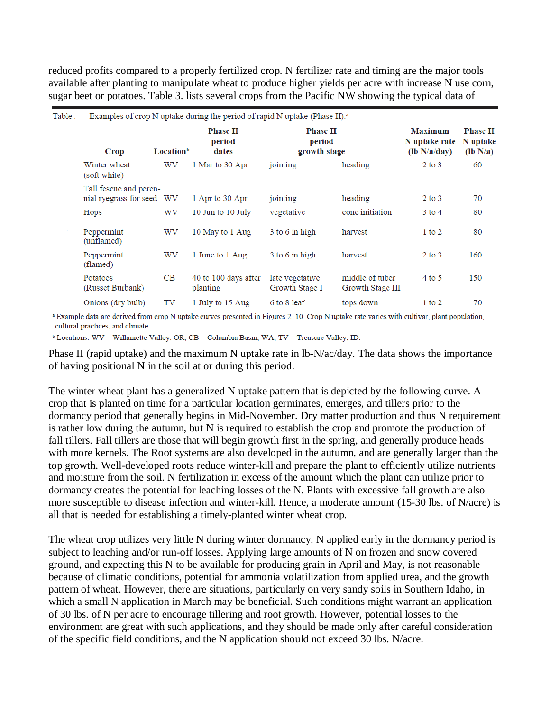reduced profits compared to a properly fertilized crop. N fertilizer rate and timing are the major tools available after planting to manipulate wheat to produce higher yields per acre with increase N use corn, sugar beet or potatoes. Table 3. lists several crops from the Pacific NW showing the typical data of

| Table — Examples of crop N uptake during the period of rapid N uptake (Phase II). <sup>a</sup> |                       |                                    |                                           |                                     |                                                 |                                           |  |  |  |
|------------------------------------------------------------------------------------------------|-----------------------|------------------------------------|-------------------------------------------|-------------------------------------|-------------------------------------------------|-------------------------------------------|--|--|--|
| Crop                                                                                           | Location <sup>b</sup> | <b>Phase II</b><br>period<br>dates | <b>Phase II</b><br>period<br>growth stage |                                     | <b>Maximum</b><br>N uptake rate<br>(lb N/a/day) | <b>Phase II</b><br>N uptake<br>$(lb N/a)$ |  |  |  |
| Winter wheat<br>(soft white)                                                                   | WV                    | 1 Mar to 30 Apr                    | jointing                                  | heading                             | $2$ to $3$                                      | 60                                        |  |  |  |
| Tall fescue and peren-<br>nial ryegrass for seed WV                                            |                       | 1 Apr to 30 Apr                    | jointing                                  | heading                             | $2$ to $3$                                      | 70                                        |  |  |  |
| Hops                                                                                           | WV                    | 10 Jun to 10 July                  | vegetative                                | cone initiation                     | $3$ to $4$                                      | 80                                        |  |  |  |
| Peppermint<br>(unflamed)                                                                       | WV                    | 10 May to 1 Aug                    | $3$ to $6$ in high                        | harvest                             | $1$ to $2$                                      | 80                                        |  |  |  |
| Peppermint<br>(flamed)                                                                         | WV                    | 1 June to 1 Aug                    | 3 to 6 in high                            | harvest                             | $2$ to $3$                                      | 160                                       |  |  |  |
| Potatoes<br>(Russet Burbank)                                                                   | CB                    | 40 to 100 days after<br>planting   | late vegetative<br>Growth Stage I         | middle of tuber<br>Growth Stage III | $4$ to 5                                        | 150                                       |  |  |  |
| Onions (dry bulb)                                                                              | TV                    | 1 July to 15 Aug                   | 6 to 8 leaf                               | tops down                           | $1$ to $2$                                      | 70                                        |  |  |  |

a Example data are derived from crop N uptake curves presented in Figures 2-10. Crop N uptake rate varies with cultivar, plant population, cultural practices, and climate.

 $\delta$  Locations: WV = Willamette Valley, OR: CB = Columbia Basin, WA: TV = Treasure Valley, ID.

Phase II (rapid uptake) and the maximum N uptake rate in lb-N/ac/day. The data shows the importance of having positional N in the soil at or during this period.

The winter wheat plant has a generalized N uptake pattern that is depicted by the following curve. A crop that is planted on time for a particular location germinates, emerges, and tillers prior to the dormancy period that generally begins in Mid-November. Dry matter production and thus N requirement is rather low during the autumn, but N is required to establish the crop and promote the production of fall tillers. Fall tillers are those that will begin growth first in the spring, and generally produce heads with more kernels. The Root systems are also developed in the autumn, and are generally larger than the top growth. Well-developed roots reduce winter-kill and prepare the plant to efficiently utilize nutrients and moisture from the soil. N fertilization in excess of the amount which the plant can utilize prior to dormancy creates the potential for leaching losses of the N. Plants with excessive fall growth are also more susceptible to disease infection and winter-kill. Hence, a moderate amount (15-30 lbs. of N/acre) is all that is needed for establishing a timely-planted winter wheat crop.

The wheat crop utilizes very little N during winter dormancy. N applied early in the dormancy period is subject to leaching and/or run-off losses. Applying large amounts of N on frozen and snow covered ground, and expecting this N to be available for producing grain in April and May, is not reasonable because of climatic conditions, potential for ammonia volatilization from applied urea, and the growth pattern of wheat. However, there are situations, particularly on very sandy soils in Southern Idaho, in which a small N application in March may be beneficial. Such conditions might warrant an application of 30 lbs. of N per acre to encourage tillering and root growth. However, potential losses to the environment are great with such applications, and they should be made only after careful consideration of the specific field conditions, and the N application should not exceed 30 lbs. N/acre.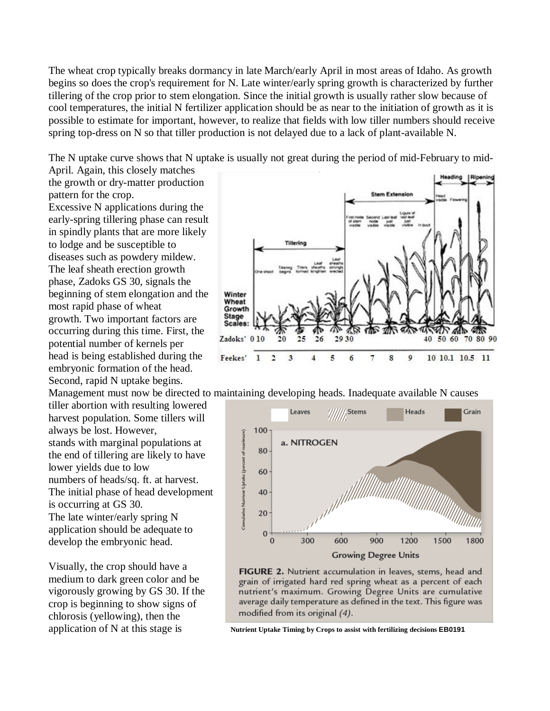The wheat crop typically breaks dormancy in late March/early April in most areas of Idaho. As growth begins so does the crop's requirement for N. Late winter/early spring growth is characterized by further tillering of the crop prior to stem elongation. Since the initial growth is usually rather slow because of cool temperatures, the initial N fertilizer application should be as near to the initiation of growth as it is possible to estimate for important, however, to realize that fields with low tiller numbers should receive spring top-dress on N so that tiller production is not delayed due to a lack of plant-available N.

The N uptake curve shows that N uptake is usually not great during the period of mid-February to mid-

April. Again, this closely matches the growth or dry-matter production pattern for the crop. Excessive N applications during the early-spring tillering phase can result in spindly plants that are more likely to lodge and be susceptible to diseases such as powdery mildew. The leaf sheath erection growth phase, Zadoks GS 30, signals the beginning of stem elongation and the most rapid phase of wheat growth. Two important factors are occurring during this time. First, the potential number of kernels per head is being established during the embryonic formation of the head. Second, rapid N uptake begins.

tiller abortion with resulting lowered harvest population. Some tillers will always be lost. However, stands with marginal populations at the end of tillering are likely to have lower yields due to low numbers of heads/sq. ft. at harvest. The initial phase of head development is occurring at GS 30. The late winter/early spring N application should be adequate to develop the embryonic head.

Visually, the crop should have a medium to dark green color and be vigorously growing by GS 30. If the crop is beginning to show signs of chlorosis (yellowing), then the application of N at this stage is **Nutrient Uptake Timing by Crops to assist with fertilizing decisions <b>EB0191** 



Management must now be directed to maintaining developing heads. Inadequate available N causes



FIGURE 2. Nutrient accumulation in leaves, stems, head and grain of irrigated hard red spring wheat as a percent of each nutrient's maximum. Growing Degree Units are cumulative average daily temperature as defined in the text. This figure was modified from its original (4).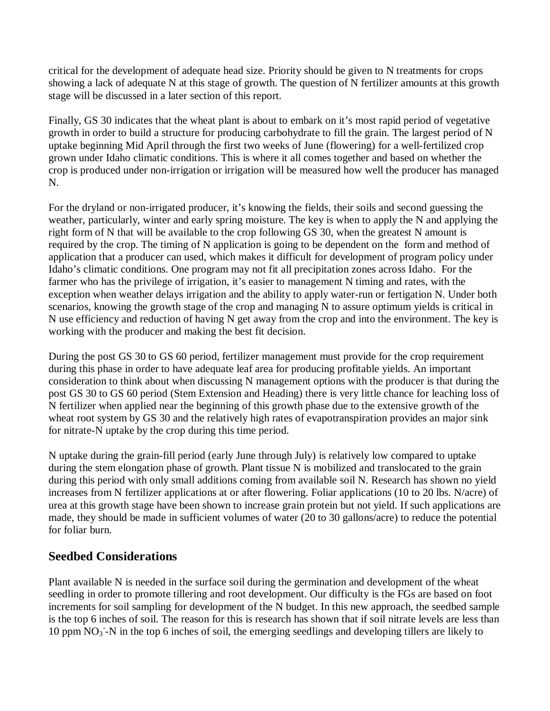critical for the development of adequate head size. Priority should be given to N treatments for crops showing a lack of adequate N at this stage of growth. The question of N fertilizer amounts at this growth stage will be discussed in a later section of this report.

Finally, GS 30 indicates that the wheat plant is about to embark on it's most rapid period of vegetative growth in order to build a structure for producing carbohydrate to fill the grain. The largest period of N uptake beginning Mid April through the first two weeks of June (flowering) for a well-fertilized crop grown under Idaho climatic conditions. This is where it all comes together and based on whether the crop is produced under non-irrigation or irrigation will be measured how well the producer has managed N.

For the dryland or non-irrigated producer, it's knowing the fields, their soils and second guessing the weather, particularly, winter and early spring moisture. The key is when to apply the N and applying the right form of N that will be available to the crop following GS 30, when the greatest N amount is required by the crop. The timing of N application is going to be dependent on the form and method of application that a producer can used, which makes it difficult for development of program policy under Idaho's climatic conditions. One program may not fit all precipitation zones across Idaho. For the farmer who has the privilege of irrigation, it's easier to management N timing and rates, with the exception when weather delays irrigation and the ability to apply water-run or fertigation N. Under both scenarios, knowing the growth stage of the crop and managing N to assure optimum yields is critical in N use efficiency and reduction of having N get away from the crop and into the environment. The key is working with the producer and making the best fit decision.

During the post GS 30 to GS 60 period, fertilizer management must provide for the crop requirement during this phase in order to have adequate leaf area for producing profitable yields. An important consideration to think about when discussing N management options with the producer is that during the post GS 30 to GS 60 period (Stem Extension and Heading) there is very little chance for leaching loss of N fertilizer when applied near the beginning of this growth phase due to the extensive growth of the wheat root system by GS 30 and the relatively high rates of evapotranspiration provides an major sink for nitrate-N uptake by the crop during this time period.

N uptake during the grain-fill period (early June through July) is relatively low compared to uptake during the stem elongation phase of growth. Plant tissue N is mobilized and translocated to the grain during this period with only small additions coming from available soil N. Research has shown no yield increases from N fertilizer applications at or after flowering. Foliar applications (10 to 20 lbs. N/acre) of urea at this growth stage have been shown to increase grain protein but not yield. If such applications are made, they should be made in sufficient volumes of water (20 to 30 gallons/acre) to reduce the potential for foliar burn.

# **Seedbed Considerations**

Plant available N is needed in the surface soil during the germination and development of the wheat seedling in order to promote tillering and root development. Our difficulty is the FGs are based on foot increments for soil sampling for development of the N budget. In this new approach, the seedbed sample is the top 6 inches of soil. The reason for this is research has shown that if soil nitrate levels are less than 10 ppm  $\overline{NO_3}$ -N in the top 6 inches of soil, the emerging seedlings and developing tillers are likely to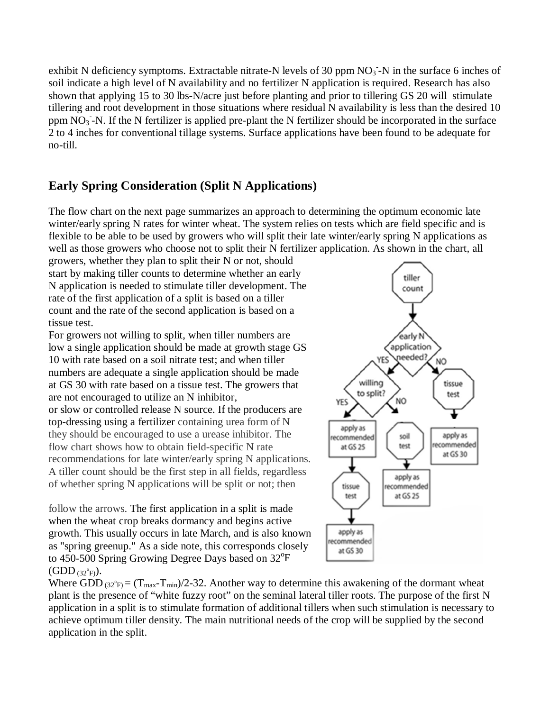exhibit N deficiency symptoms. Extractable nitrate-N levels of 30 ppm  $NO<sub>3</sub>$ -N in the surface 6 inches of soil indicate a high level of N availability and no fertilizer N application is required. Research has also shown that applying 15 to 30 lbs-N/acre just before planting and prior to tillering GS 20 will stimulate tillering and root development in those situations where residual N availability is less than the desired 10 ppm NO<sub>3</sub>-N. If the N fertilizer is applied pre-plant the N fertilizer should be incorporated in the surface 2 to 4 inches for conventional tillage systems. Surface applications have been found to be adequate for no-till.

# **Early Spring Consideration (Split N Applications)**

The flow chart on the next page summarizes an approach to determining the optimum economic late winter/early spring N rates for winter wheat. The system relies on tests which are field specific and is flexible to be able to be used by growers who will split their late winter/early spring N applications as well as those growers who choose not to split their N fertilizer application. As shown in the chart, all

growers, whether they plan to split their N or not, should start by making tiller counts to determine whether an early N application is needed to stimulate tiller development. The rate of the first application of a split is based on a tiller count and the rate of the second application is based on a tissue test.

For growers not willing to split, when tiller numbers are low a single application should be made at growth stage GS 10 with rate based on a soil nitrate test; and when tiller numbers are adequate a single application should be made at GS 30 with rate based on a tissue test. The growers that are not encouraged to utilize an N inhibitor, or slow or controlled release N source. If the producers are top-dressing using a fertilizer containing urea form of N they should be encouraged to use a urease inhibitor. The flow chart shows how to obtain field-specific N rate recommendations for late winter/early spring N applications. A tiller count should be the first step in all fields, regardless of whether spring N applications will be split or not; then

follow the arrows. The first application in a split is made when the wheat crop breaks dormancy and begins active growth. This usually occurs in late March, and is also known as "spring greenup." As a side note, this corresponds closely to 450-500 Spring Growing Degree Days based on 32°F  $(GDD_{(32^{\circ}F)}).$ 



Where GDD  $_{(32^{\degree}F)} = (T_{max} - T_{min})/2 - 32$ . Another way to determine this awakening of the dormant wheat plant is the presence of "white fuzzy root" on the seminal lateral tiller roots. The purpose of the first N application in a split is to stimulate formation of additional tillers when such stimulation is necessary to achieve optimum tiller density. The main nutritional needs of the crop will be supplied by the second application in the split.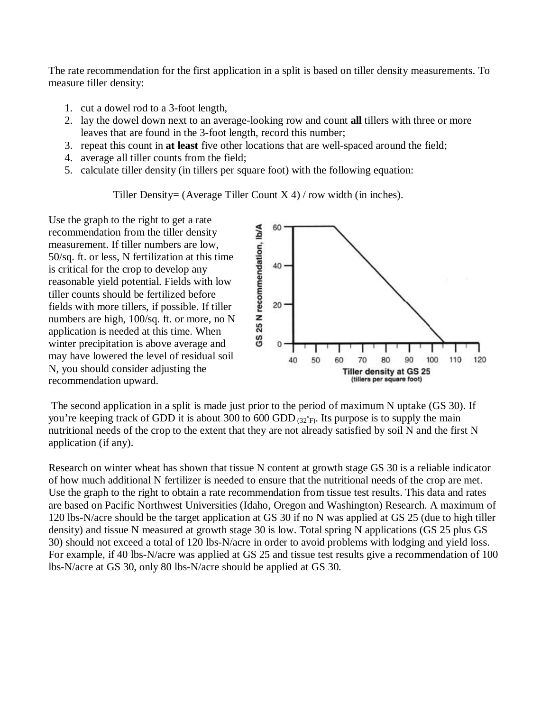The rate recommendation for the first application in a split is based on tiller density measurements. To measure tiller density:

- 1. cut a dowel rod to a 3-foot length,
- 2. lay the dowel down next to an average-looking row and count **all** tillers with three or more leaves that are found in the 3-foot length, record this number;
- 3. repeat this count in **at least** five other locations that are well-spaced around the field;
- 4. average all tiller counts from the field;
- 5. calculate tiller density (in tillers per square foot) with the following equation:

Tiller Density= (Average Tiller Count  $X$  4) / row width (in inches).

Use the graph to the right to get a rate recommendation from the tiller density measurement. If tiller numbers are low, 50/sq. ft. or less, N fertilization at this time is critical for the crop to develop any reasonable yield potential. Fields with low tiller counts should be fertilized before fields with more tillers, if possible. If tiller numbers are high, 100/sq. ft. or more, no N application is needed at this time. When winter precipitation is above average and may have lowered the level of residual soil N, you should consider adjusting the recommendation upward.



 The second application in a split is made just prior to the period of maximum N uptake (GS 30). If you're keeping track of GDD it is about 300 to 600 GDD  $_{(32°F)}$ . Its purpose is to supply the main nutritional needs of the crop to the extent that they are not already satisfied by soil N and the first N application (if any).

Research on winter wheat has shown that tissue N content at growth stage GS 30 is a reliable indicator of how much additional N fertilizer is needed to ensure that the nutritional needs of the crop are met. Use the graph to the right to obtain a rate recommendation from tissue test results. This data and rates are based on Pacific Northwest Universities (Idaho, Oregon and Washington) Research. A maximum of 120 lbs-N/acre should be the target application at GS 30 if no N was applied at GS 25 (due to high tiller density) and tissue N measured at growth stage 30 is low. Total spring N applications (GS 25 plus GS 30) should not exceed a total of 120 lbs-N/acre in order to avoid problems with lodging and yield loss. For example, if 40 lbs-N/acre was applied at GS 25 and tissue test results give a recommendation of 100 lbs-N/acre at GS 30, only 80 lbs-N/acre should be applied at GS 30.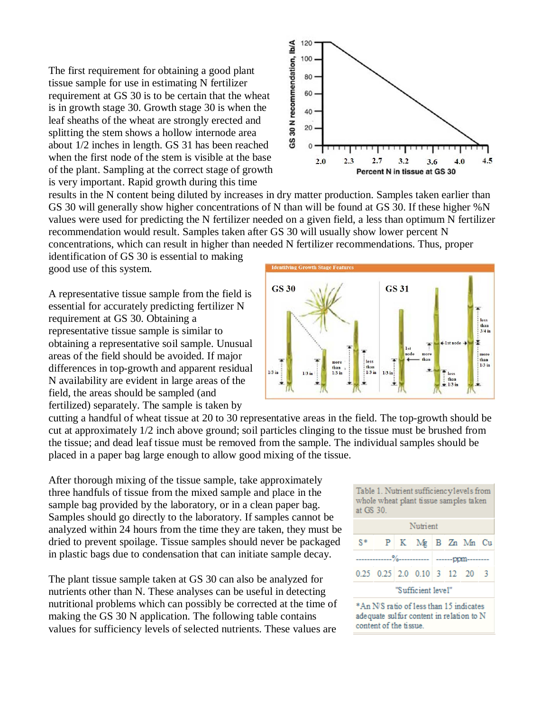The first requirement for obtaining a good plant tissue sample for use in estimating N fertilizer requirement at GS 30 is to be certain that the wheat is in growth stage 30. Growth stage 30 is when the leaf sheaths of the wheat are strongly erected and splitting the stem shows a hollow internode area about 1/2 inches in length. GS 31 has been reached when the first node of the stem is visible at the base of the plant. Sampling at the correct stage of growth is very important. Rapid growth during this time



results in the N content being diluted by increases in dry matter production. Samples taken earlier than GS 30 will generally show higher concentrations of N than will be found at GS 30. If these higher %N values were used for predicting the N fertilizer needed on a given field, a less than optimum N fertilizer recommendation would result. Samples taken after GS 30 will usually show lower percent N concentrations, which can result in higher than needed N fertilizer recommendations. Thus, proper

identification of GS 30 is essential to making good use of this system.

A representative tissue sample from the field is essential for accurately predicting fertilizer N requirement at GS 30. Obtaining a representative tissue sample is similar to obtaining a representative soil sample. Unusual areas of the field should be avoided. If major differences in top-growth and apparent residual N availability are evident in large areas of the field, the areas should be sampled (and fertilized) separately. The sample is taken by

**GS 31 GS 30** than<br> $3/4$  in  $\pm$ lst node  $\pm$ x ÷ lst more more  $than$ than less more  $\frac{1}{3}$  ir  $\frac{\text{thor}}{\text{than}}$   $\frac{1}{3}$  in  $\frac{\text{than}}{\text{1/3}}$  $1/3$  in  $1/3$  in

cutting a handful of wheat tissue at 20 to 30 representative areas in the field. The top-growth should be cut at approximately 1/2 inch above ground; soil particles clinging to the tissue must be brushed from the tissue; and dead leaf tissue must be removed from the sample. The individual samples should be placed in a paper bag large enough to allow good mixing of the tissue.

After thorough mixing of the tissue sample, take approximately three handfuls of tissue from the mixed sample and place in the sample bag provided by the laboratory, or in a clean paper bag. Samples should go directly to the laboratory. If samples cannot be analyzed within 24 hours from the time they are taken, they must be dried to prevent spoilage. Tissue samples should never be packaged in plastic bags due to condensation that can initiate sample decay.

The plant tissue sample taken at GS 30 can also be analyzed for nutrients other than N. These analyses can be useful in detecting nutritional problems which can possibly be corrected at the time of making the GS 30 N application. The following table contains values for sufficiency levels of selected nutrients. These values are

| Table 1. Nutrient sufficiencylevels from            |  |
|-----------------------------------------------------|--|
| whole wheat plant tissue samples taken<br>at GS 30. |  |
|                                                     |  |

| Nutrient                                                 |                                    |  |                   |  |  |  |     |  |  |  |  |
|----------------------------------------------------------|------------------------------------|--|-------------------|--|--|--|-----|--|--|--|--|
| $S^*$                                                    |                                    |  | P K Mg B Zn Mn Cu |  |  |  |     |  |  |  |  |
| ------------%---------------------   -------ppm--------- |                                    |  |                   |  |  |  |     |  |  |  |  |
|                                                          | $0.25$ $0.25$ $2.0$ $0.10$ 3 12 20 |  |                   |  |  |  | - 3 |  |  |  |  |
| "Sufficient level"                                       |                                    |  |                   |  |  |  |     |  |  |  |  |

\*An N/S ratio of less than 15 indicates adequate sulfur content in relation to N content of the tissue.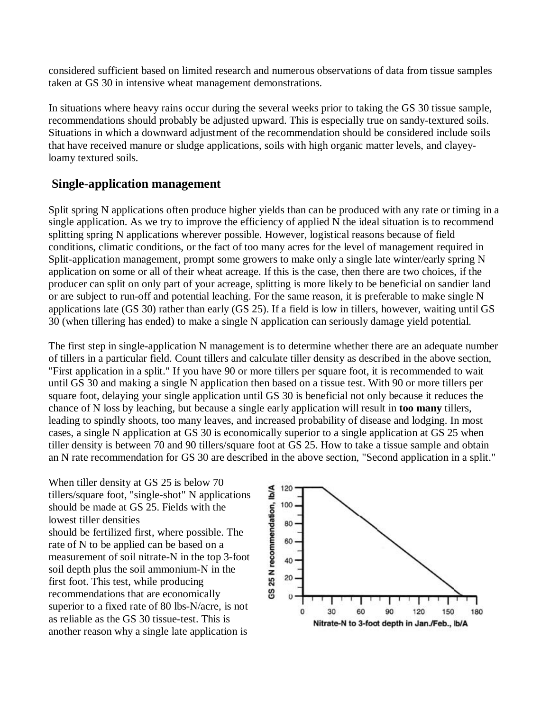considered sufficient based on limited research and numerous observations of data from tissue samples taken at GS 30 in intensive wheat management demonstrations.

In situations where heavy rains occur during the several weeks prior to taking the GS 30 tissue sample, recommendations should probably be adjusted upward. This is especially true on sandy-textured soils. Situations in which a downward adjustment of the recommendation should be considered include soils that have received manure or sludge applications, soils with high organic matter levels, and clayeyloamy textured soils.

### **Single-application management**

Split spring N applications often produce higher yields than can be produced with any rate or timing in a single application. As we try to improve the efficiency of applied N the ideal situation is to recommend splitting spring N applications wherever possible. However, logistical reasons because of field conditions, climatic conditions, or the fact of too many acres for the level of management required in Split-application management, prompt some growers to make only a single late winter/early spring N application on some or all of their wheat acreage. If this is the case, then there are two choices, if the producer can split on only part of your acreage, splitting is more likely to be beneficial on sandier land or are subject to run-off and potential leaching. For the same reason, it is preferable to make single N applications late (GS 30) rather than early (GS 25). If a field is low in tillers, however, waiting until GS 30 (when tillering has ended) to make a single N application can seriously damage yield potential.

The first step in single-application N management is to determine whether there are an adequate number of tillers in a particular field. Count tillers and calculate tiller density as described in the above section, "First application in a split." If you have 90 or more tillers per square foot, it is recommended to wait until GS 30 and making a single N application then based on a tissue test. With 90 or more tillers per square foot, delaying your single application until GS 30 is beneficial not only because it reduces the chance of N loss by leaching, but because a single early application will result in **too many** tillers, leading to spindly shoots, too many leaves, and increased probability of disease and lodging. In most cases, a single N application at GS 30 is economically superior to a single application at GS 25 when tiller density is between 70 and 90 tillers/square foot at GS 25. How to take a tissue sample and obtain an N rate recommendation for GS 30 are described in the above section, "Second application in a split."

When tiller density at GS 25 is below 70 tillers/square foot, "single-shot" N applications should be made at GS 25. Fields with the lowest tiller densities should be fertilized first, where possible. The rate of N to be applied can be based on a measurement of soil nitrate-N in the top 3-foot soil depth plus the soil ammonium-N in the first foot. This test, while producing recommendations that are economically superior to a fixed rate of 80 lbs-N/acre, is not as reliable as the GS 30 tissue-test. This is another reason why a single late application is

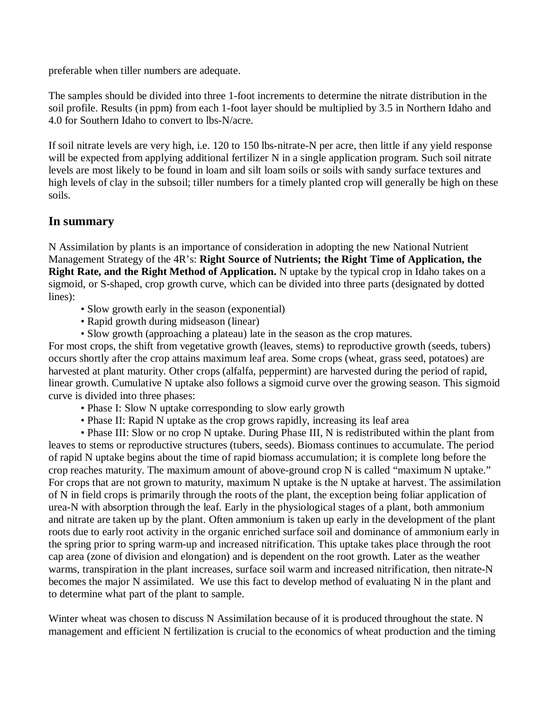preferable when tiller numbers are adequate.

The samples should be divided into three 1-foot increments to determine the nitrate distribution in the soil profile. Results (in ppm) from each 1-foot layer should be multiplied by 3.5 in Northern Idaho and 4.0 for Southern Idaho to convert to lbs-N/acre.

If soil nitrate levels are very high, i.e. 120 to 150 lbs-nitrate-N per acre, then little if any yield response will be expected from applying additional fertilizer N in a single application program. Such soil nitrate levels are most likely to be found in loam and silt loam soils or soils with sandy surface textures and high levels of clay in the subsoil; tiller numbers for a timely planted crop will generally be high on these soils.

# **In summary**

N Assimilation by plants is an importance of consideration in adopting the new National Nutrient Management Strategy of the 4R's: **Right Source of Nutrients; the Right Time of Application, the Right Rate, and the Right Method of Application.** N uptake by the typical crop in Idaho takes on a sigmoid, or S-shaped, crop growth curve, which can be divided into three parts (designated by dotted lines):

- Slow growth early in the season (exponential)
- Rapid growth during midseason (linear)
- Slow growth (approaching a plateau) late in the season as the crop matures.

For most crops, the shift from vegetative growth (leaves, stems) to reproductive growth (seeds, tubers) occurs shortly after the crop attains maximum leaf area. Some crops (wheat, grass seed, potatoes) are harvested at plant maturity. Other crops (alfalfa, peppermint) are harvested during the period of rapid, linear growth. Cumulative N uptake also follows a sigmoid curve over the growing season. This sigmoid curve is divided into three phases:

- Phase I: Slow N uptake corresponding to slow early growth
- Phase II: Rapid N uptake as the crop grows rapidly, increasing its leaf area

• Phase III: Slow or no crop N uptake. During Phase III, N is redistributed within the plant from leaves to stems or reproductive structures (tubers, seeds). Biomass continues to accumulate. The period of rapid N uptake begins about the time of rapid biomass accumulation; it is complete long before the crop reaches maturity. The maximum amount of above-ground crop N is called "maximum N uptake." For crops that are not grown to maturity, maximum N uptake is the N uptake at harvest. The assimilation of N in field crops is primarily through the roots of the plant, the exception being foliar application of urea-N with absorption through the leaf. Early in the physiological stages of a plant, both ammonium and nitrate are taken up by the plant. Often ammonium is taken up early in the development of the plant roots due to early root activity in the organic enriched surface soil and dominance of ammonium early in the spring prior to spring warm-up and increased nitrification. This uptake takes place through the root cap area (zone of division and elongation) and is dependent on the root growth. Later as the weather warms, transpiration in the plant increases, surface soil warm and increased nitrification, then nitrate-N becomes the major N assimilated. We use this fact to develop method of evaluating N in the plant and to determine what part of the plant to sample.

Winter wheat was chosen to discuss N Assimilation because of it is produced throughout the state. N management and efficient N fertilization is crucial to the economics of wheat production and the timing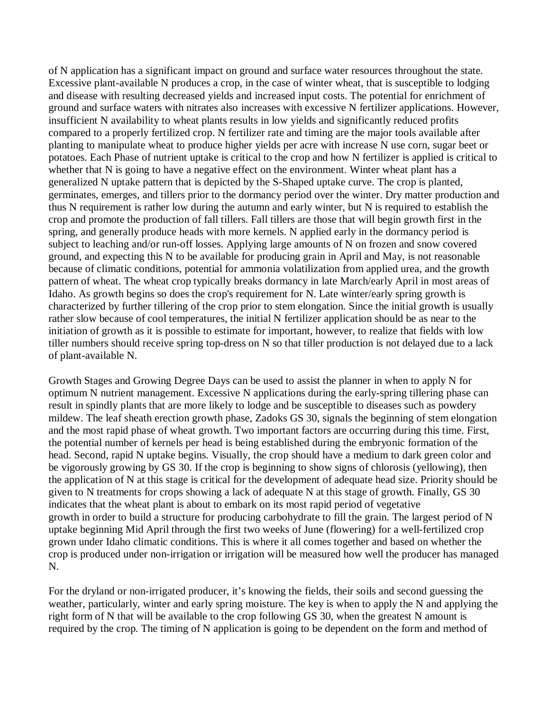of N application has a significant impact on ground and surface water resources throughout the state. Excessive plant-available N produces a crop, in the case of winter wheat, that is susceptible to lodging and disease with resulting decreased yields and increased input costs. The potential for enrichment of ground and surface waters with nitrates also increases with excessive N fertilizer applications. However, insufficient N availability to wheat plants results in low yields and significantly reduced profits compared to a properly fertilized crop. N fertilizer rate and timing are the major tools available after planting to manipulate wheat to produce higher yields per acre with increase N use corn, sugar beet or potatoes. Each Phase of nutrient uptake is critical to the crop and how N fertilizer is applied is critical to whether that N is going to have a negative effect on the environment. Winter wheat plant has a generalized N uptake pattern that is depicted by the S-Shaped uptake curve. The crop is planted, germinates, emerges, and tillers prior to the dormancy period over the winter. Dry matter production and thus N requirement is rather low during the autumn and early winter, but N is required to establish the crop and promote the production of fall tillers. Fall tillers are those that will begin growth first in the spring, and generally produce heads with more kernels. N applied early in the dormancy period is subject to leaching and/or run-off losses. Applying large amounts of N on frozen and snow covered ground, and expecting this N to be available for producing grain in April and May, is not reasonable because of climatic conditions, potential for ammonia volatilization from applied urea, and the growth pattern of wheat. The wheat crop typically breaks dormancy in late March/early April in most areas of Idaho. As growth begins so does the crop's requirement for N. Late winter/early spring growth is characterized by further tillering of the crop prior to stem elongation. Since the initial growth is usually rather slow because of cool temperatures, the initial N fertilizer application should be as near to the initiation of growth as it is possible to estimate for important, however, to realize that fields with low tiller numbers should receive spring top-dress on N so that tiller production is not delayed due to a lack of plant-available N.

Growth Stages and Growing Degree Days can be used to assist the planner in when to apply N for optimum N nutrient management. Excessive N applications during the early-spring tillering phase can result in spindly plants that are more likely to lodge and be susceptible to diseases such as powdery mildew. The leaf sheath erection growth phase, Zadoks GS 30, signals the beginning of stem elongation and the most rapid phase of wheat growth. Two important factors are occurring during this time. First, the potential number of kernels per head is being established during the embryonic formation of the head. Second, rapid N uptake begins. Visually, the crop should have a medium to dark green color and be vigorously growing by GS 30. If the crop is beginning to show signs of chlorosis (yellowing), then the application of N at this stage is critical for the development of adequate head size. Priority should be given to N treatments for crops showing a lack of adequate N at this stage of growth. Finally, GS 30 indicates that the wheat plant is about to embark on its most rapid period of vegetative growth in order to build a structure for producing carbohydrate to fill the grain. The largest period of N uptake beginning Mid April through the first two weeks of June (flowering) for a well-fertilized crop grown under Idaho climatic conditions. This is where it all comes together and based on whether the crop is produced under non-irrigation or irrigation will be measured how well the producer has managed N.

For the dryland or non-irrigated producer, it's knowing the fields, their soils and second guessing the weather, particularly, winter and early spring moisture. The key is when to apply the N and applying the right form of N that will be available to the crop following GS 30, when the greatest N amount is required by the crop. The timing of N application is going to be dependent on the form and method of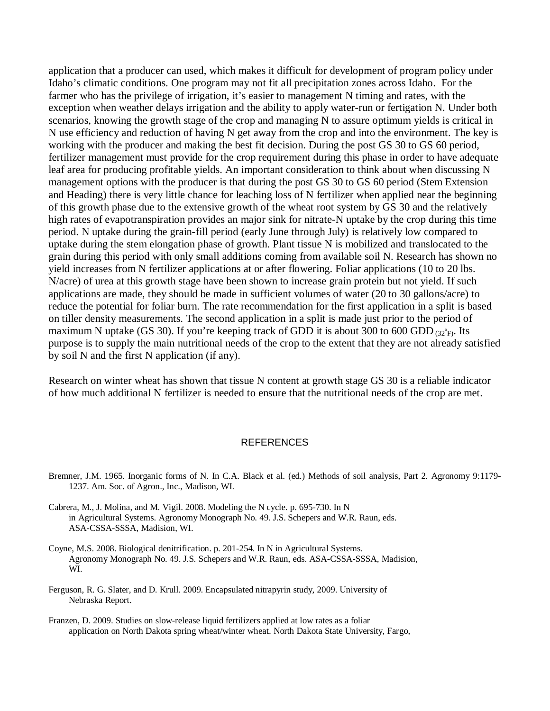application that a producer can used, which makes it difficult for development of program policy under Idaho's climatic conditions. One program may not fit all precipitation zones across Idaho. For the farmer who has the privilege of irrigation, it's easier to management N timing and rates, with the exception when weather delays irrigation and the ability to apply water-run or fertigation N. Under both scenarios, knowing the growth stage of the crop and managing N to assure optimum yields is critical in N use efficiency and reduction of having N get away from the crop and into the environment. The key is working with the producer and making the best fit decision. During the post GS 30 to GS 60 period, fertilizer management must provide for the crop requirement during this phase in order to have adequate leaf area for producing profitable yields. An important consideration to think about when discussing N management options with the producer is that during the post GS 30 to GS 60 period (Stem Extension and Heading) there is very little chance for leaching loss of N fertilizer when applied near the beginning of this growth phase due to the extensive growth of the wheat root system by GS 30 and the relatively high rates of evapotranspiration provides an major sink for nitrate-N uptake by the crop during this time period. N uptake during the grain-fill period (early June through July) is relatively low compared to uptake during the stem elongation phase of growth. Plant tissue N is mobilized and translocated to the grain during this period with only small additions coming from available soil N. Research has shown no yield increases from N fertilizer applications at or after flowering. Foliar applications (10 to 20 lbs. N/acre) of urea at this growth stage have been shown to increase grain protein but not yield. If such applications are made, they should be made in sufficient volumes of water (20 to 30 gallons/acre) to reduce the potential for foliar burn. The rate recommendation for the first application in a split is based on tiller density measurements. The second application in a split is made just prior to the period of maximum N uptake (GS 30). If you're keeping track of GDD it is about 300 to 600 GDD  $_{(32°F)}$ . Its purpose is to supply the main nutritional needs of the crop to the extent that they are not already satisfied by soil N and the first N application (if any).

Research on winter wheat has shown that tissue N content at growth stage GS 30 is a reliable indicator of how much additional N fertilizer is needed to ensure that the nutritional needs of the crop are met.

#### **REFERENCES**

- Bremner, J.M. 1965. Inorganic forms of N. In C.A. Black et al. (ed.) Methods of soil analysis, Part 2. Agronomy 9:1179- 1237. Am. Soc. of Agron., Inc., Madison, WI.
- Cabrera, M., J. Molina, and M. Vigil. 2008. Modeling the N cycle. p. 695-730. In N in Agricultural Systems. Agronomy Monograph No. 49. J.S. Schepers and W.R. Raun, eds. ASA-CSSA-SSSA, Madision, WI.
- Coyne, M.S. 2008. Biological denitrification. p. 201-254. In N in Agricultural Systems. Agronomy Monograph No. 49. J.S. Schepers and W.R. Raun, eds. ASA-CSSA-SSSA, Madision, WI.
- Ferguson, R. G. Slater, and D. Krull. 2009. Encapsulated nitrapyrin study, 2009. University of Nebraska Report.
- Franzen, D. 2009. Studies on slow-release liquid fertilizers applied at low rates as a foliar application on North Dakota spring wheat/winter wheat. North Dakota State University, Fargo,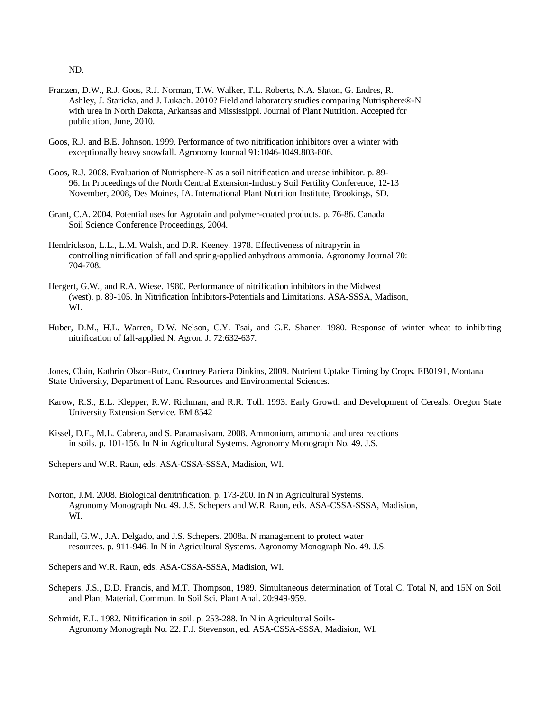ND.

- Franzen, D.W., R.J. Goos, R.J. Norman, T.W. Walker, T.L. Roberts, N.A. Slaton, G. Endres, R. Ashley, J. Staricka, and J. Lukach. 2010? Field and laboratory studies comparing Nutrisphere®-N with urea in North Dakota, Arkansas and Mississippi. Journal of Plant Nutrition. Accepted for publication, June, 2010.
- Goos, R.J. and B.E. Johnson. 1999. Performance of two nitrification inhibitors over a winter with exceptionally heavy snowfall. Agronomy Journal 91:1046-1049.803-806.
- Goos, R.J. 2008. Evaluation of Nutrisphere-N as a soil nitrification and urease inhibitor. p. 89- 96. In Proceedings of the North Central Extension-Industry Soil Fertility Conference, 12-13 November, 2008, Des Moines, IA. International Plant Nutrition Institute, Brookings, SD.
- Grant, C.A. 2004. Potential uses for Agrotain and polymer-coated products. p. 76-86. Canada Soil Science Conference Proceedings, 2004.
- Hendrickson, L.L., L.M. Walsh, and D.R. Keeney. 1978. Effectiveness of nitrapyrin in controlling nitrification of fall and spring-applied anhydrous ammonia. Agronomy Journal 70: 704-708.
- Hergert, G.W., and R.A. Wiese. 1980. Performance of nitrification inhibitors in the Midwest (west). p. 89-105. In Nitrification Inhibitors-Potentials and Limitations. ASA-SSSA, Madison, WI.
- Huber, D.M., H.L. Warren, D.W. Nelson, C.Y. Tsai, and G.E. Shaner. 1980. Response of winter wheat to inhibiting nitrification of fall-applied N. Agron. J. 72:632-637.

Jones, Clain, Kathrin Olson-Rutz, Courtney Pariera Dinkins, 2009. Nutrient Uptake Timing by Crops. EB0191, Montana State University, Department of Land Resources and Environmental Sciences.

- Karow, R.S., E.L. Klepper, R.W. Richman, and R.R. Toll. 1993. Early Growth and Development of Cereals. Oregon State University Extension Service. EM 8542
- Kissel, D.E., M.L. Cabrera, and S. Paramasivam. 2008. Ammonium, ammonia and urea reactions in soils. p. 101-156. In N in Agricultural Systems. Agronomy Monograph No. 49. J.S.
- Schepers and W.R. Raun, eds. ASA-CSSA-SSSA, Madision, WI.
- Norton, J.M. 2008. Biological denitrification. p. 173-200. In N in Agricultural Systems. Agronomy Monograph No. 49. J.S. Schepers and W.R. Raun, eds. ASA-CSSA-SSSA, Madision, WI.
- Randall, G.W., J.A. Delgado, and J.S. Schepers. 2008a. N management to protect water resources. p. 911-946. In N in Agricultural Systems. Agronomy Monograph No. 49. J.S.

Schepers and W.R. Raun, eds. ASA-CSSA-SSSA, Madision, WI.

- Schepers, J.S., D.D. Francis, and M.T. Thompson, 1989. Simultaneous determination of Total C, Total N, and 15N on Soil and Plant Material. Commun. In Soil Sci. Plant Anal. 20:949-959.
- Schmidt, E.L. 1982. Nitrification in soil. p. 253-288. In N in Agricultural Soils-Agronomy Monograph No. 22. F.J. Stevenson, ed. ASA-CSSA-SSSA, Madision, WI.